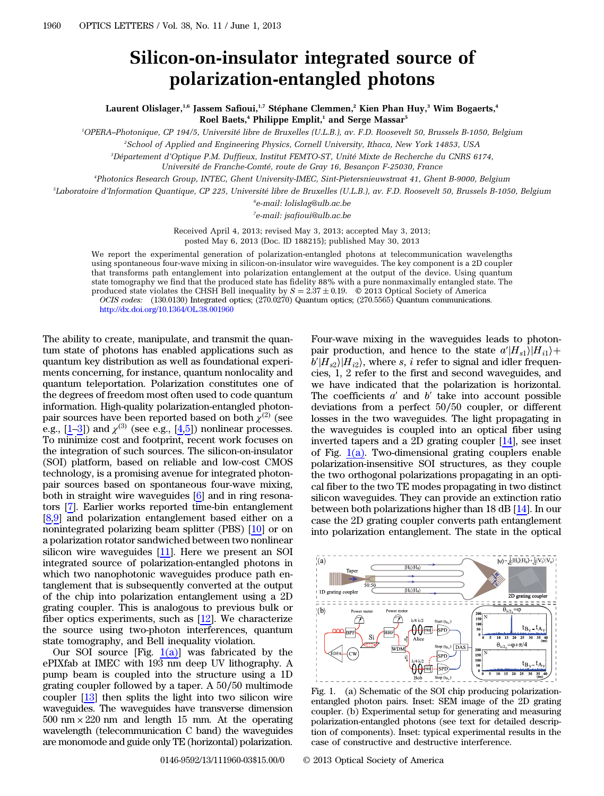## Silicon-on-insulator integrated source of polarization-entangled photons

Laurent Olislager,<sup>1,6</sup> Jassem Safioui,<sup>1,7</sup> Stéphane Clemmen,<sup>2</sup> Kien Phan Huy,<sup>3</sup> Wim Bogaerts,<sup>4</sup> Roel Baets,<sup>4</sup> Philippe Emplit,<sup>1</sup> and Serge Massar<sup>5</sup>

1 OPERA–Photonique, CP 194/5, Université libre de Bruxelles (U.L.B.), av. F.D. Roosevelt 50, Brussels B-1050, Belgium

2 School of Applied and Engineering Physics, Cornell University, Ithaca, New York 14853, USA

3 Département d'Optique P.M. Duffieux, Institut FEMTO-ST, Unité Mixte de Recherche du CNRS 6174,

Université de Franche-Comté, route de Gray 16, Besançon F-25030, France

4 Photonics Research Group, INTEC, Ghent University-IMEC, Sint-Pietersnieuwstraat 41, Ghent B-9000, Belgium

5 Laboratoire d'Information Quantique, CP 225, Université libre de Bruxelles (U.L.B.), av. F.D. Roosevelt 50, Brussels B-1050, Belgium

6 e-mail: lolislag@ulb.ac.be

7 e-mail: jsafioui@ulb.ac.be

Received April 4, 2013; revised May 3, 2013; accepted May 3, 2013; posted May 6, 2013 (Doc. ID 188215); published May 30, 2013

We report the experimental generation of polarization-entangled photons at telecommunication wavelengths using spontaneous four-wave mixing in silicon-on-insulator wire waveguides. The key component is a 2D coupler that transforms path entanglement into polarization entanglement at the output of the device. Using quantum state tomography we find that the produced state has fidelity 88% with a pure nonmaximally entangled state. The produced state violates the CHSH Bell inequality by  $S = 2.37 \pm 0.19$ . © 2013 Optical Society of America OCIS codes: (130.0130) Integrated optics; (270.0270) Quantum optics; (270.5565) Quantum communications. <http://dx.doi.org/10.1364/OL.38.001960>

The ability to create, manipulate, and transmit the quantum state of photons has enabled applications such as quantum key distribution as well as foundational experiments concerning, for instance, quantum nonlocality and quantum teleportation. Polarization constitutes one of the degrees of freedom most often used to code quantum information. High-quality polarization-entangled photonpair sources have been reported based on both  $\chi^{(2)}$  (see e.g.,  $[1-3]$  $[1-3]$  $[1-3]$  $[1-3]$ ) and  $\chi^{(3)}$  (see e.g.,  $[4,5]$  $[4,5]$  $[4,5]$  $[4,5]$ ) nonlinear processes. To minimize cost and footprint, recent work focuses on the integration of such sources. The silicon-on-insulator (SOI) platform, based on reliable and low-cost CMOS technology, is a promising avenue for integrated photonpair sources based on spontaneous four-wave mixing, both in straight wire waveguides [\[6](#page-2-4)] and in ring resonators [[7\]](#page-2-5). Earlier works reported time-bin entanglement [\[8](#page-2-6),[9\]](#page-2-7) and polarization entanglement based either on a nonintegrated polarizing beam splitter (PBS) [\[10](#page-2-8)] or on a polarization rotator sandwiched between two nonlinear silicon wire waveguides [\[11](#page-2-9)]. Here we present an SOI integrated source of polarization-entangled photons in which two nanophotonic waveguides produce path entanglement that is subsequently converted at the output of the chip into polarization entanglement using a 2D grating coupler. This is analogous to previous bulk or fiber optics experiments, such as  $[12]$  $[12]$ . We characterize the source using two-photon interferences, quantum state tomography, and Bell inequality violation.

Our SOI source [Fig.  $1(a)$ ] was fabricated by the ePIXfab at IMEC with  $193 \overline{\text{nm}}$  deep UV lithography. A pump beam is coupled into the structure using a 1D grating coupler followed by a taper. A 50∕50 multimode coupler [[13\]](#page-2-11) then splits the light into two silicon wire waveguides. The waveguides have transverse dimension  $500 \text{ nm} \times 220 \text{ nm}$  and length 15 mm. At the operating wavelength (telecommunication C band) the waveguides are monomode and guide only TE (horizontal) polarization.

Four-wave mixing in the waveguides leads to photonpair production, and hence to the state  $a'|H_{s1}\rangle|H_{i1}\rangle +$  $b'|H_{s2}\rangle|H_{i2}\rangle$ , where s, i refer to signal and idler frequencies, 1, 2 refer to the first and second waveguides, and we have indicated that the polarization is horizontal. The coefficients  $a'$  and  $b'$  take into account possible deviations from a perfect 50∕50 coupler, or different losses in the two waveguides. The light propagating in the waveguides is coupled into an optical fiber using inverted tapers and a 2D grating coupler [[14\]](#page-2-12), see inset of Fig.  $1(a)$ . Two-dimensional grating couplers enable polarization-insensitive SOI structures, as they couple the two orthogonal polarizations propagating in an optical fiber to the two TE modes propagating in two distinct silicon waveguides. They can provide an extinction ratio between both polarizations higher than 18 dB [[14\]](#page-2-12). In our case the 2D grating coupler converts path entanglement into polarization entanglement. The state in the optical

<span id="page-0-0"></span>

Fig. 1. (a) Schematic of the SOI chip producing polarizationentangled photon pairs. Inset: SEM image of the 2D grating coupler. (b) Experimental setup for generating and measuring polarization-entangled photons (see text for detailed description of components). Inset: typical experimental results in the case of constructive and destructive interference.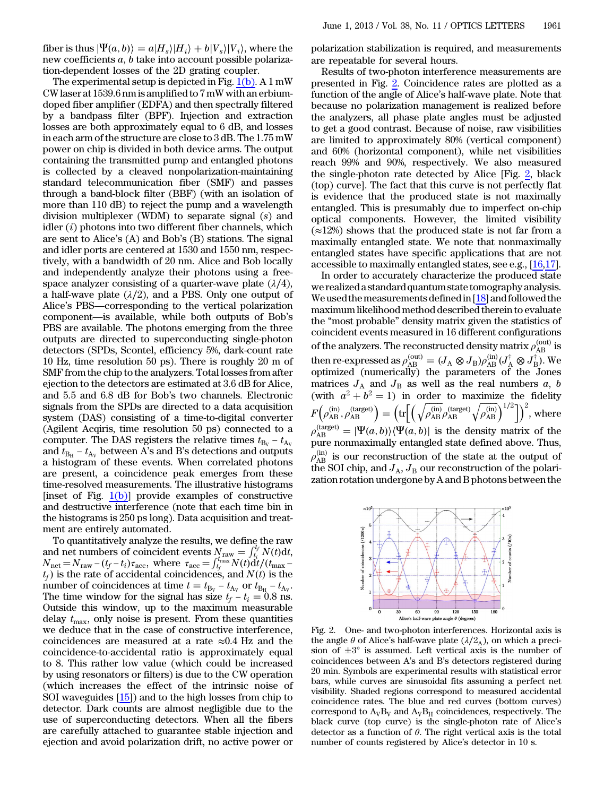fiber is thus  $|\Psi(a, b)\rangle = a|H_s\rangle|H_i\rangle + b|V_s\rangle|V_i\rangle$ , where the new coefficients a, b take into account possible polarization-dependent losses of the 2D grating coupler.

The experimental setup is depicted in Fig.  $1(b)$ . A 1 mW CW laser at 1539.6 nm is amplified to 7 mW with an erbiumdoped fiber amplifier (EDFA) and then spectrally filtered by a bandpass filter (BPF). Injection and extraction losses are both approximately equal to 6 dB, and losses in each arm of the structure are close to 3 dB. The 1.75 mW power on chip is divided in both device arms. The output containing the transmitted pump and entangled photons is collected by a cleaved nonpolarization-maintaining standard telecommunication fiber (SMF) and passes through a band-block filter (BBF) (with an isolation of more than 110 dB) to reject the pump and a wavelength division multiplexer (WDM) to separate signal (s) and idler  $(i)$  photons into two different fiber channels, which are sent to Alice's (A) and Bob's (B) stations. The signal and idler ports are centered at 1530 and 1550 nm, respectively, with a bandwidth of 20 nm. Alice and Bob locally and independently analyze their photons using a freespace analyzer consisting of a quarter-wave plate  $(\lambda/4)$ , a half-wave plate  $(\lambda/2)$ , and a PBS. Only one output of Alice's PBS—corresponding to the vertical polarization component—is available, while both outputs of Bob's PBS are available. The photons emerging from the three outputs are directed to superconducting single-photon detectors (SPDs, Scontel, efficiency 5%, dark-count rate 10 Hz, time resolution 50 ps). There is roughly 20 m of SMF from the chip to the analyzers. Total losses from after ejection to the detectors are estimated at 3.6 dB for Alice, and 5.5 and 6.8 dB for Bob's two channels. Electronic signals from the SPDs are directed to a data acquisition system (DAS) consisting of a time-to-digital converter (Agilent Acqiris, time resolution 50 ps) connected to a computer. The DAS registers the relative times  $t_{\text{B}_{\text{V}}} - t_{\text{A}_{\text{V}}}$ and  $t_{\text{B}_{\text{H}}}$  –  $t_{\text{Av}}$  between A's and B's detections and outputs a histogram of these events. When correlated photons are present, a coincidence peak emerges from these time-resolved measurements. The illustrative histograms [inset of Fig.  $1(b)$ ] provide examples of constructive and destructive interference (note that each time bin in the histograms is 250 ps long). Data acquisition and treatment are entirely automated.

To quantitatively analyze the results, we define the raw and net numbers of coincident events  $N_{\text{raw}} = \int_{t_i}^{t_f} N(t) dt$ , The Histograms is 250 ps long). Data acquisition and deal-<br>
To quantitatively analyze the results, we define the raw<br>
and net numbers of coincident events  $N_{\text{raw}} = \int_{t_i}^{t_f} N(t) dt$ ,<br>  $N_{\text{net}} = N_{\text{raw}} - (t_f - t_i) \tau_{\text{acc}}$ , wher  $t_f$ ) is the rate of accidental coincidences, and  $N(t)$  is the number of coincident events  $N_{\text{raw}} = \int_{t_i}^{t_f} N(t) dt$ ,<br>  $N_{\text{net}} = N_{\text{raw}} - (t_f - t_i)\tau_{\text{acc}}$ , where  $\tau_{\text{acc}} = \int_{t_f}^{t_{\text{max}}} N(t) dt / (t_{\text{max}} - t_f)$  is the rate of accidental coincidences, and  $N(t)$  is the number of coincidences at  $N_{\text{net}} = N_{\text{raw}} - (t_f - t_i)\tau_{\text{acc}}$ , where  $\tau_{\text{acc}} = \int_{t_f}^{t_{\text{max}}} N(t) dt/(t_{\text{max}} - t_f)$  is the rate of accidental coincidences, and  $N(t)$  is the number of coincidences at time  $t = t_{\text{By}} - t_{\text{Ay}}$  or  $t_{\text{B}_{\text{H}}} - t_{\text{Ay}}$ .<br>The Outside this window, up to the maximum measurable delay  $t_{\text{max}}$ , only noise is present. From these quantities we deduce that in the case of constructive interference, coincidences are measured at a rate  $\approx 0.4$  Hz and the coincidence-to-accidental ratio is approximately equal to 8. This rather low value (which could be increased by using resonators or filters) is due to the CW operation (which increases the effect of the intrinsic noise of SOI waveguides [\[15](#page-2-13)]) and to the high losses from chip to detector. Dark counts are almost negligible due to the use of superconducting detectors. When all the fibers are carefully attached to guarantee stable injection and ejection and avoid polarization drift, no active power or

polarization stabilization is required, and measurements are repeatable for several hours.

Results of two-photon interference measurements are presented in Fig. [2.](#page-1-0) Coincidence rates are plotted as a function of the angle of Alice's half-wave plate. Note that because no polarization management is realized before the analyzers, all phase plate angles must be adjusted to get a good contrast. Because of noise, raw visibilities are limited to approximately 80% (vertical component) and 60% (horizontal component), while net visibilities reach 99% and 90%, respectively. We also measured the single-photon rate detected by Alice [Fig. [2](#page-1-0), black (top) curve]. The fact that this curve is not perfectly flat is evidence that the produced state is not maximally entangled. This is presumably due to imperfect on-chip optical components. However, the limited visibility  $(\approx 12\%)$  shows that the produced state is not far from a maximally entangled state. We note that nonmaximally entangled states have specific applications that are not accessible to maximally entangled states, see e.g., [[16](#page-2-14)[,17](#page-2-15)].

In order to accurately characterize the produced state we realized a standard quantum state tomography analysis. We used the measurements defined in  $[18]$  $[18]$  and followed the maximum likelihood method described therein to evaluate the "most probable" density matrix given the statistics of coincident events measured in 16 different configurations of the analyzers. The reconstructed density matrix  $\rho_{\mathrm{AB}}^{\mathrm{(out)}}$  is then re-expressed as  $\rho_{AB}^{(\rm out)}=(J_{\rm A}\otimes J_{\rm B})\rho_{AB}^{(\rm in)}(J_{\rm A}^{\dagger}\otimes J_{\rm B}^{\dagger})$ . We optimized (numerically) the parameters of the Jones matrices  $J_A$  and  $J_B$  as well as the real numbers a, b (with  $a^2 + b^2 = 1$ ) in order to maximize the fidelity  $F\!\left(\rho_\mathrm{AB}^{(\mathrm{in})},\rho_\mathrm{AB}^{(\mathrm{target})}\right) = \left(\mathrm{tr}\!\Big[\Big(\sqrt{\rho_\mathrm{AB}^{(\mathrm{in})}}\rho_\mathrm{AB}^{(\mathrm{target})}\sqrt{\rho_\mathrm{AB}^{(\mathrm{in})}}\Big)^{1/2}\Big]\right)^2\!\text{, where}$  $\rho_{AB}^{(\text{target})} = |\Psi(a, b)\rangle \langle \Psi(a, b)|$  is the density matrix of the pure nonmaximally entangled state defined above. Thus,  $\rho_{AB}^{(in)}$  is our reconstruction of the state at the output of the SOI chip, and  $J_A$ ,  $J_B$  our reconstruction of the polarization rotation undergone by A and B photons between the

<span id="page-1-0"></span>

Fig. 2. One- and two-photon interferences. Horizontal axis is the angle  $\theta$  of Alice's half-wave plate ( $\lambda/2_A$ ), on which a precision of  $\pm 3^{\circ}$  is assumed. Left vertical axis is the number of coincidences between A's and B's detectors registered during 20 min. Symbols are experimental results with statistical error bars, while curves are sinusoidal fits assuming a perfect net visibility. Shaded regions correspond to measured accidental coincidence rates. The blue and red curves (bottom curves) correspond to  $A_VB_V$  and  $A_VB_H$  coincidences, respectively. The black curve (top curve) is the single-photon rate of Alice's detector as a function of  $\theta$ . The right vertical axis is the total number of counts registered by Alice's detector in 10 s.